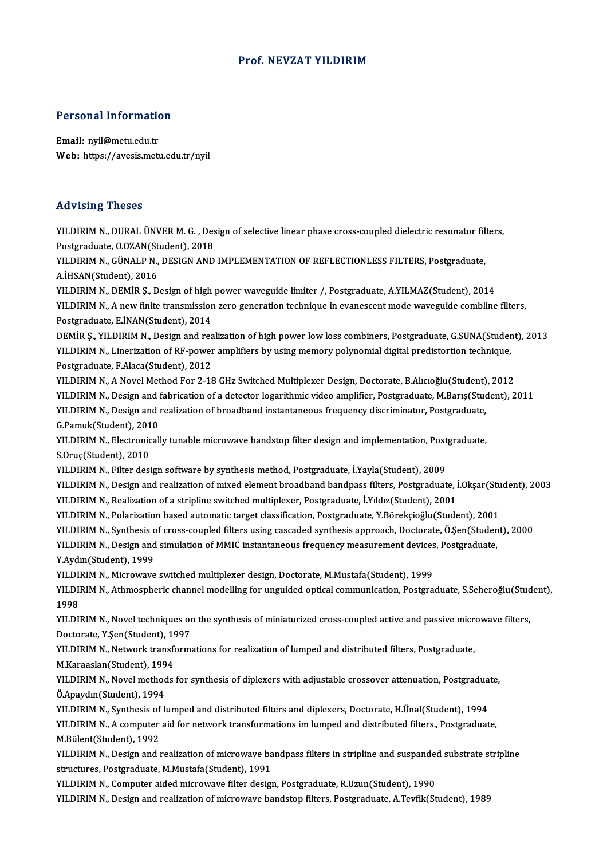### Prof.NEVZAT YILDIRIM

# Personal Information

Personal Information<br>Email: nyil@metu.edu.tr<br>Web: https://avesis.met Email: nyil@metu.edu.tr<br>Web: https://avesis.metu.edu.tr/nyil

### Advising Theses

Advising Theses<br>YILDIRIM N., DURAL ÜNVER M. G. , Design of selective linear phase cross-coupled dielectric resonator filters,<br>Postsraduata Q.034N(Student), 2019 POSTGRADUATE<br>POSTGRADUATE, POSTGRADUATE, POSTGRADUATE, POSTGRADUATE, O.OZAN(Student), 2018<br>POSTGRADUATE CINALE N. DESICN AND YILDIRIM N., DURAL ÜNVER M. G. , Design of selective linear phase cross-coupled dielectric resonator fil<br>Postgraduate, O.OZAN(Student), 2018<br>YILDIRIM N., GÜNALP N., DESIGN AND IMPLEMENTATION OF REFLECTIONLESS FILTERS, Post Postgraduate, O.OZAN(Student), 2018<br>YILDIRIM N., GÜNALP N., DESIGN AND IMPLEMENTATION OF REFLECTIONLESS FILTERS, Postgraduate,<br>A.İHSAN(Student), 2016 YILDIRIM N., GÜNALP N., DESIGN AND IMPLEMENTATION OF REFLECTIONLESS FILTERS, Postgraduate,<br>A.İHSAN(Student), 2016<br>YILDIRIM N., DEMİR Ş., Design of high power waveguide limiter /, Postgraduate, A.YILMAZ(Student), 2014<br>YILDI YILDIRIM N., A new finite transmission zero generation technique in evanescent mode waveguide combline filters,<br>Postgraduate, E.İNAN(Student), 2014 YILDIRIM N., DEMİR Ş., Design of high<br>YILDIRIM N., A new finite transmissior<br>Postgraduate, E.İNAN(Student), 2014<br>DEMİR S. VILDIRIM N. Design and res DEMIR Ş., YILDIRIM N., Design and realization of high power low loss combiners, Postgraduate, G.SUNA(Student), 2013 Postgraduate, E.İNAN(Student), 2014<br>DEMİR Ş., YILDIRIM N., Design and realization of high power low loss combiners, Postgraduate, G.SUNA(Studer<br>YILDIRIM N., Linerization of RF-power amplifiers by using memory polynomial di DEMİR Ş., YILDIRIM N., Design and rea<br>YILDIRIM N., Linerization of RF-power<br>Postgraduate, F.Alaca(Student), 2012<br>YU DIPIM N. A Novel Method For 2.18 YILDIRIM N., Linerization of RF-power amplifiers by using memory polynomial digital predistortion technique,<br>Postgraduate, F.Alaca(Student), 2012<br>YILDIRIM N., A Novel Method For 2-18 GHz Switched Multiplexer Design, Doctor Postgraduate, F.Alaca(Student), 2012<br>YILDIRIM N., A Novel Method For 2-18 GHz Switched Multiplexer Design, Doctorate, B.Alıcıoğlu(Student), 2012<br>YILDIRIM N., Design and fabrication of a detector logarithmic video amplifier YILDIRIM N., A Novel Method For 2-18 GHz Switched Multiplexer Design, Doctorate, B.Alıcıoğlu(Student)<br>YILDIRIM N., Design and fabrication of a detector logarithmic video amplifier, Postgraduate, M.Barış(Stud<br>YILDIRIM N., D YILDIRIM N., Design and f<br>YILDIRIM N., Design and f<br>G.Pamuk(Student), 2010<br>YU DIBIM N. Electronicall YILDIRIM N., Design and realization of broadband instantaneous frequency discriminator, Postgraduate,<br>G.Pamuk(Student), 2010<br>YILDIRIM N., Electronically tunable microwave bandstop filter design and implementation, Postgrad G.Pamuk(Student), 201<br>YILDIRIM N., Electronic<br>S.Oruç(Student), 2010<br>YU DIPIM N. Eilter desi YILDIRIM N., Electronically tunable microwave bandstop filter design and implementation, Post<br>S.Oruç(Student), 2010<br>YILDIRIM N., Filter design software by synthesis method, Postgraduate, İ.Yayla(Student), 2009<br>YU DIRIM N., S.Oruç(Student), 2010<br>YILDIRIM N., Filter design software by synthesis method, Postgraduate, İ.Yayla(Student), 2009<br>YILDIRIM N., Design and realization of mixed element broadband bandpass filters, Postgraduate, İ.Okşar(Stu YILDIRIM N., Filter design software by synthesis method, Postgraduate, İ.Yayla(Student), 2009<br>YILDIRIM N., Design and realization of mixed element broadband bandpass filters, Postgraduate, İ<br>YILDIRIM N., Realization of a s YILDIRIM N., Design and realization of mixed element broadband bandpass filters, Postgraduate, İ.Okşar(Stu<br>YILDIRIM N., Realization of a stripline switched multiplexer, Postgraduate, İ.Yıldız(Student), 2001<br>YILDIRIM N., Po YILDIRIM N., Realization of a stripline switched multiplexer, Postgraduate, İ.Yıldız(Student), 2001<br>YILDIRIM N., Polarization based automatic target classification, Postgraduate, Y.Börekçioğlu(Student), 2001<br>YILDIRIM N., S YILDIRIM N., Polarization based automatic target classification, Postgraduate, Y.Börekçioğlu(Student), 2001<br>YILDIRIM N., Synthesis of cross-coupled filters using cascaded synthesis approach, Doctorate, Ö.Şen(Studen<br>YILDIRI YILDIRIM N., Synthesis o<br>YILDIRIM N., Design and<br>Y.Aydın(Student), 1999<br>YU DIRIM N. Misrovovo YILDIRIM N., Design and simulation of MMIC instantaneous frequency measurement devices<br>Y.Aydın(Student), 1999<br>YILDIRIM N., Microwave switched multiplexer design, Doctorate, M.Mustafa(Student), 1999<br>YILDIRIM N., Athmorphori Y.Aydın(Student), 1999<br>YILDIRIM N., Microwave switched multiplexer design, Doctorate, M.Mustafa(Student), 1999<br>YILDIRIM N., Athmospheric channel modelling for unguided optical communication, Postgraduate, S.Seheroğlu(Stude YILDIRIM N., Microwave switched multiplexer design, Doctorate, M.Mustafa(Student), 1999<br>YILDIRIM N., Athmospheric channel modelling for unguided optical communication, Postgra<br>1998 YILDIRIM N., Athmospheric channel modelling for unguided optical communication, Postgraduate, S.Seheroğlu(Stud<br>1998<br>YILDIRIM N., Novel techniques on the synthesis of miniaturized cross-coupled active and passive microwave 1998<br>YILDIRIM N., Novel techniques or<br>Doctorate, Y.Şen(Student), 1997<br>YU DIBIM N. Network transform YILDIRIM N., Novel techniques on the synthesis of miniaturized cross-coupled active and passive micr<br>Doctorate, Y.Şen(Student), 1997<br>YILDIRIM N., Network transformations for realization of lumped and distributed filters, P Doctorate, Y.Şen(Student), 19<br>YILDIRIM N., Network transfo<br>M.Karaaslan(Student), 1994<br>YU DIBIM N. Naval mathada YILDIRIM N., Network transformations for realization of lumped and distributed filters, Postgraduate,<br>M.Karaaslan(Student), 1994<br>YILDIRIM N., Novel methods for synthesis of diplexers with adjustable crossover attenuation, M.Karaaslan(Student), 199<br>YILDIRIM N., Novel method<br>Ö.Apaydın(Student), 1994<br>YU DIRIM N. Synthesis of k YILDIRIM N., Novel methods for synthesis of diplexers with adjustable crossover attenuation, Postgradua<br>Ö.Apaydın(Student), 1994<br>YILDIRIM N., Synthesis of lumped and distributed filters and diplexers, Doctorate, H.Ünal(Stu Ö.Apaydın(Student), 1994<br>YILDIRIM N., Synthesis of lumped and distributed filters and diplexers, Doctorate, H.Ünal(Student), 1994<br>YILDIRIM N., A computer aid for network transformations im lumped and distributed filters., YILDIRIM N., Synthesis of<br>YILDIRIM N., A computer<br>M.Bülent(Student), 1992<br>YU DIBIM N. Dosian and 1 YILDIRIM N., A computer aid for network transformations im lumped and distributed filters., Postgraduate,<br>M.Bülent(Student), 1992<br>YILDIRIM N., Design and realization of microwave bandpass filters in stripline and suspanded M.Bülent(Student), 1992<br>YILDIRIM N., Design and realization of microwave ba<br>structures, Postgraduate, M.Mustafa(Student), 1991<br>VILDIPIM N. Computer aided microwave filter design YILDIRIM N., Design and realization of microwave bandpass filters in stripline and suspandee<br>structures, Postgraduate, M.Mustafa(Student), 1991<br>YILDIRIM N., Computer aided microwave filter design, Postgraduate, R.Uzun(Stud structures, Postgraduate, M.Mustafa(Student), 1991<br>YILDIRIM N., Computer aided microwave filter design, Postgraduate, R.Uzun(Student), 1990<br>YILDIRIM N., Design and realization of microwave bandstop filters, Postgraduate, A